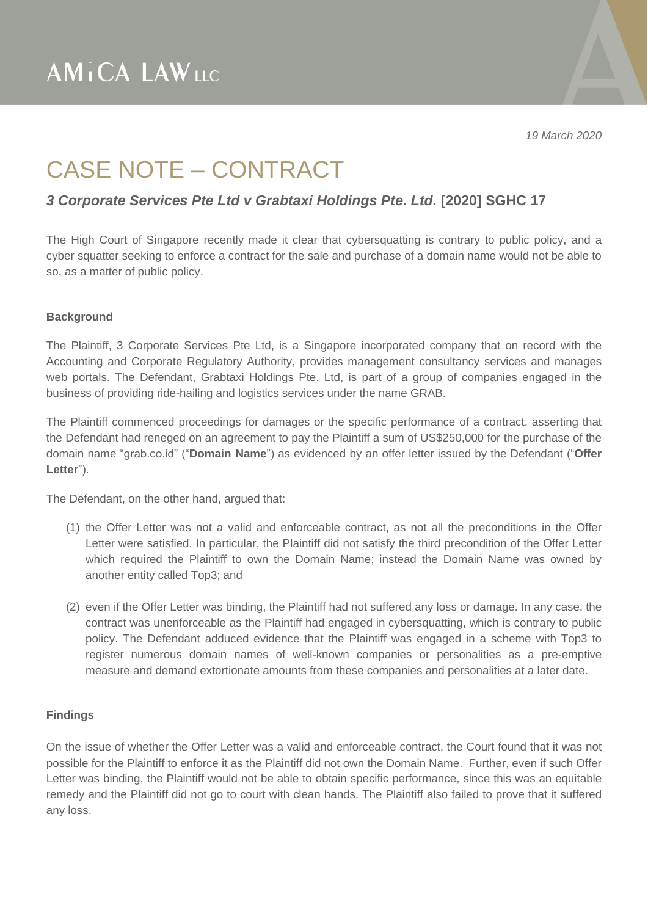*19 March 2020*

## CASE NOTE – CONTRACT

### *3 Corporate Services Pte Ltd v Grabtaxi Holdings Pte. Ltd.* **[2020] SGHC 17**

The High Court of Singapore recently made it clear that cybersquatting is contrary to public policy, and a cyber squatter seeking to enforce a contract for the sale and purchase of a domain name would not be able to so, as a matter of public policy.

#### **Background**

The Plaintiff, 3 Corporate Services Pte Ltd, is a Singapore incorporated company that on record with the Accounting and Corporate Regulatory Authority, provides management consultancy services and manages web portals. The Defendant, Grabtaxi Holdings Pte. Ltd, is part of a group of companies engaged in the business of providing ride-hailing and logistics services under the name GRAB.

The Plaintiff commenced proceedings for damages or the specific performance of a contract, asserting that the Defendant had reneged on an agreement to pay the Plaintiff a sum of US\$250,000 for the purchase of the domain name "grab.co.id" ("**Domain Name**") as evidenced by an offer letter issued by the Defendant ("**Offer Letter**").

The Defendant, on the other hand, argued that:

- (1) the Offer Letter was not a valid and enforceable contract, as not all the preconditions in the Offer Letter were satisfied. In particular, the Plaintiff did not satisfy the third precondition of the Offer Letter which required the Plaintiff to own the Domain Name; instead the Domain Name was owned by another entity called Top3; and
- (2) even if the Offer Letter was binding, the Plaintiff had not suffered any loss or damage. In any case, the contract was unenforceable as the Plaintiff had engaged in cybersquatting, which is contrary to public policy. The Defendant adduced evidence that the Plaintiff was engaged in a scheme with Top3 to register numerous domain names of well-known companies or personalities as a pre-emptive measure and demand extortionate amounts from these companies and personalities at a later date.

#### **Findings**

On the issue of whether the Offer Letter was a valid and enforceable contract, the Court found that it was not possible for the Plaintiff to enforce it as the Plaintiff did not own the Domain Name. Further, even if such Offer Letter was binding, the Plaintiff would not be able to obtain specific performance, since this was an equitable remedy and the Plaintiff did not go to court with clean hands. The Plaintiff also failed to prove that it suffered any loss.